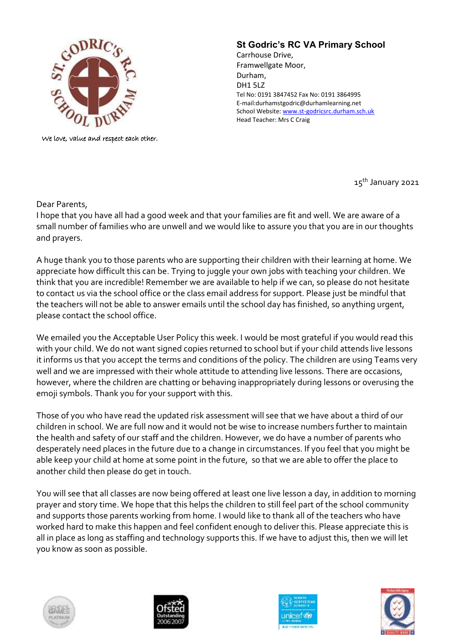

We love, value and respect each other.

## **St Godric's RC VA Primary School**

Carrhouse Drive, Framwellgate Moor, Durham, DH1 5LZ Tel No: 0191 3847452 Fax No: 0191 3864995 E-mail:durhamstgodric@durhamlearning.net School Website[: www.st-godricsrc.durham.sch.uk](http://www.st-godricsrc.durham.sch.uk/) Head Teacher: Mrs C Craig

15<sup>th</sup> January 2021

Dear Parents,

I hope that you have all had a good week and that your families are fit and well. We are aware of a small number of families who are unwell and we would like to assure you that you are in our thoughts and prayers.

A huge thank you to those parents who are supporting their children with their learning at home. We appreciate how difficult this can be. Trying to juggle your own jobs with teaching your children. We think that you are incredible! Remember we are available to help if we can, so please do not hesitate to contact us via the school office or the class email address for support. Please just be mindful that the teachers will not be able to answer emails until the school day has finished, so anything urgent, please contact the school office.

We emailed you the Acceptable User Policy this week. I would be most grateful if you would read this with your child. We do not want signed copies returned to school but if your child attends live lessons it informs us that you accept the terms and conditions of the policy. The children are using Teams very well and we are impressed with their whole attitude to attending live lessons. There are occasions, however, where the children are chatting or behaving inappropriately during lessons or overusing the emoji symbols. Thank you for your support with this.

Those of you who have read the updated risk assessment will see that we have about a third of our children in school. We are full now and it would not be wise to increase numbers further to maintain the health and safety of our staff and the children. However, we do have a number of parents who desperately need places in the future due to a change in circumstances. If you feel that you might be able keep your child at home at some point in the future, so that we are able to offer the place to another child then please do get in touch.

You will see that all classes are now being offered at least one live lesson a day, in addition to morning prayer and story time. We hope that this helps the children to still feel part of the school community and supports those parents working from home. I would like to thank all of the teachers who have worked hard to make this happen and feel confident enough to deliver this. Please appreciate this is all in place as long as staffing and technology supports this. If we have to adjust this, then we will let you know as soon as possible.